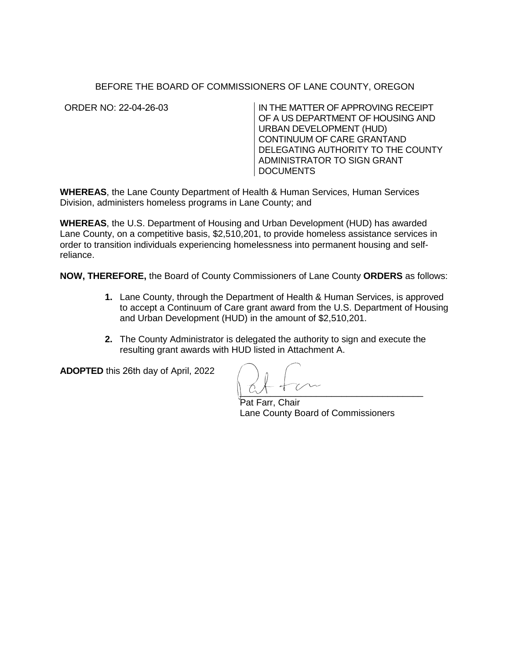## BEFORE THE BOARD OF COMMISSIONERS OF LANE COUNTY, OREGON

ORDER NO: 22-04-26-03 IN THE MATTER OF APPROVING RECEIPT OF A US DEPARTMENT OF HOUSING AND URBAN DEVELOPMENT (HUD) CONTINUUM OF CARE GRANTAND DELEGATING AUTHORITY TO THE COUNTY ADMINISTRATOR TO SIGN GRANT **DOCUMENTS** 

**WHEREAS**, the Lane County Department of Health & Human Services, Human Services Division, administers homeless programs in Lane County; and

**WHEREAS**, the U.S. Department of Housing and Urban Development (HUD) has awarded Lane County, on a competitive basis, \$2,510,201, to provide homeless assistance services in order to transition individuals experiencing homelessness into permanent housing and selfreliance.

**NOW, THEREFORE,** the Board of County Commissioners of Lane County **ORDERS** as follows:

- **1.** Lane County, through the Department of Health & Human Services, is approved to accept a Continuum of Care grant award from the U.S. Department of Housing and Urban Development (HUD) in the amount of \$2,510,201.
- **2.** The County Administrator is delegated the authority to sign and execute the resulting grant awards with HUD listed in Attachment A.

**ADOPTED** this 26th day of April, 2022

 $\frac{1}{2}$ 

Pat Farr, Chair Lane County Board of Commissioners